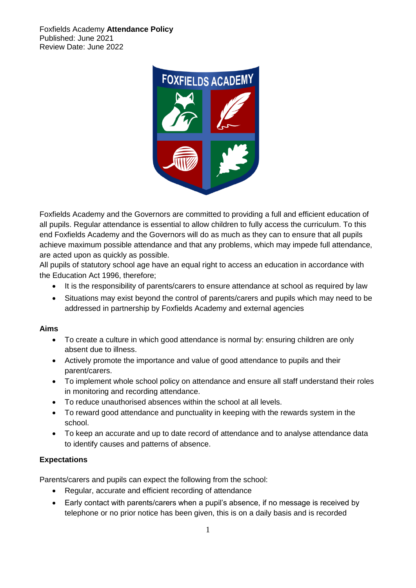

Foxfields Academy and the Governors are committed to providing a full and efficient education of all pupils. Regular attendance is essential to allow children to fully access the curriculum. To this end Foxfields Academy and the Governors will do as much as they can to ensure that all pupils achieve maximum possible attendance and that any problems, which may impede full attendance, are acted upon as quickly as possible.

All pupils of statutory school age have an equal right to access an education in accordance with the Education Act 1996, therefore;

- It is the responsibility of parents/carers to ensure attendance at school as required by law
- Situations may exist beyond the control of parents/carers and pupils which may need to be addressed in partnership by Foxfields Academy and external agencies

#### **Aims**

- To create a culture in which good attendance is normal by: ensuring children are only absent due to illness.
- Actively promote the importance and value of good attendance to pupils and their parent/carers.
- To implement whole school policy on attendance and ensure all staff understand their roles in monitoring and recording attendance.
- To reduce unauthorised absences within the school at all levels.
- To reward good attendance and punctuality in keeping with the rewards system in the school.
- To keep an accurate and up to date record of attendance and to analyse attendance data to identify causes and patterns of absence.

## **Expectations**

Parents/carers and pupils can expect the following from the school:

- Regular, accurate and efficient recording of attendance
- Early contact with parents/carers when a pupil's absence, if no message is received by telephone or no prior notice has been given, this is on a daily basis and is recorded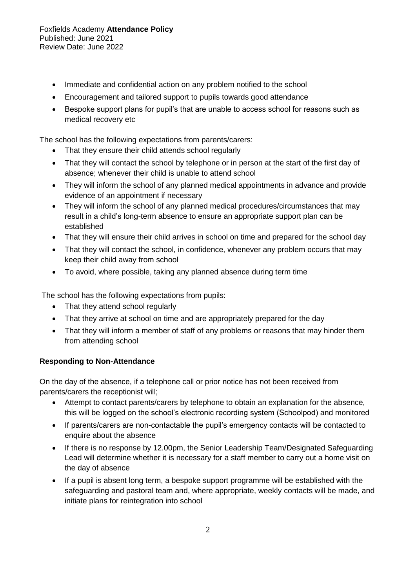- Immediate and confidential action on any problem notified to the school
- Encouragement and tailored support to pupils towards good attendance
- Bespoke support plans for pupil's that are unable to access school for reasons such as medical recovery etc

The school has the following expectations from parents/carers:

- That they ensure their child attends school regularly
- That they will contact the school by telephone or in person at the start of the first day of absence; whenever their child is unable to attend school
- They will inform the school of any planned medical appointments in advance and provide evidence of an appointment if necessary
- They will inform the school of any planned medical procedures/circumstances that may result in a child's long-term absence to ensure an appropriate support plan can be established
- That they will ensure their child arrives in school on time and prepared for the school day
- That they will contact the school, in confidence, whenever any problem occurs that may keep their child away from school
- To avoid, where possible, taking any planned absence during term time

The school has the following expectations from pupils:

- That they attend school regularly
- That they arrive at school on time and are appropriately prepared for the day
- That they will inform a member of staff of any problems or reasons that may hinder them from attending school

## **Responding to Non-Attendance**

On the day of the absence, if a telephone call or prior notice has not been received from parents/carers the receptionist will;

- Attempt to contact parents/carers by telephone to obtain an explanation for the absence, this will be logged on the school's electronic recording system (Schoolpod) and monitored
- If parents/carers are non-contactable the pupil's emergency contacts will be contacted to enquire about the absence
- If there is no response by 12.00pm, the Senior Leadership Team/Designated Safeguarding Lead will determine whether it is necessary for a staff member to carry out a home visit on the day of absence
- If a pupil is absent long term, a bespoke support programme will be established with the safeguarding and pastoral team and, where appropriate, weekly contacts will be made, and initiate plans for reintegration into school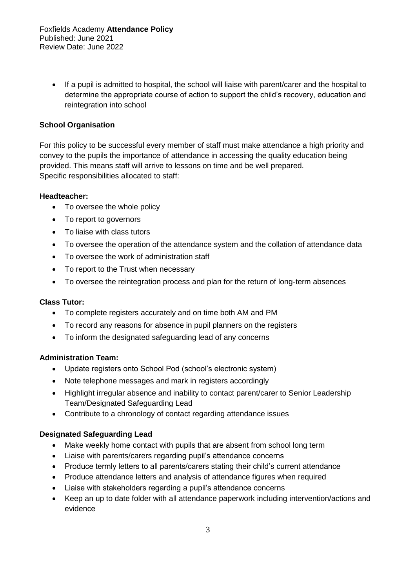• If a pupil is admitted to hospital, the school will liaise with parent/carer and the hospital to determine the appropriate course of action to support the child's recovery, education and reintegration into school

## **School Organisation**

For this policy to be successful every member of staff must make attendance a high priority and convey to the pupils the importance of attendance in accessing the quality education being provided. This means staff will arrive to lessons on time and be well prepared. Specific responsibilities allocated to staff:

#### **Headteacher:**

- To oversee the whole policy
- To report to governors
- To liaise with class tutors
- To oversee the operation of the attendance system and the collation of attendance data
- To oversee the work of administration staff
- To report to the Trust when necessary
- To oversee the reintegration process and plan for the return of long-term absences

#### **Class Tutor:**

- To complete registers accurately and on time both AM and PM
- To record any reasons for absence in pupil planners on the registers
- To inform the designated safeguarding lead of any concerns

#### **Administration Team:**

- Update registers onto School Pod (school's electronic system)
- Note telephone messages and mark in registers accordingly
- Highlight irregular absence and inability to contact parent/carer to Senior Leadership Team/Designated Safeguarding Lead
- Contribute to a chronology of contact regarding attendance issues

## **Designated Safeguarding Lead**

- Make weekly home contact with pupils that are absent from school long term
- Liaise with parents/carers regarding pupil's attendance concerns
- Produce termly letters to all parents/carers stating their child's current attendance
- Produce attendance letters and analysis of attendance figures when required
- Liaise with stakeholders regarding a pupil's attendance concerns
- Keep an up to date folder with all attendance paperwork including intervention/actions and evidence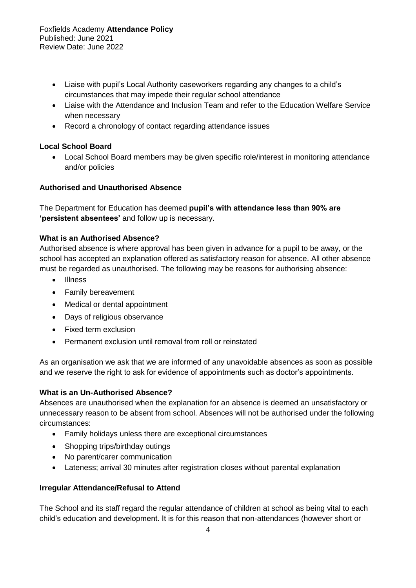- Liaise with pupil's Local Authority caseworkers regarding any changes to a child's circumstances that may impede their regular school attendance
- Liaise with the Attendance and Inclusion Team and refer to the Education Welfare Service when necessary
- Record a chronology of contact regarding attendance issues

# **Local School Board**

• Local School Board members may be given specific role/interest in monitoring attendance and/or policies

# **Authorised and Unauthorised Absence**

The Department for Education has deemed **pupil's with attendance less than 90% are 'persistent absentees'** and follow up is necessary.

# **What is an Authorised Absence?**

Authorised absence is where approval has been given in advance for a pupil to be away, or the school has accepted an explanation offered as satisfactory reason for absence. All other absence must be regarded as unauthorised. The following may be reasons for authorising absence:

- Illness
- Family bereavement
- Medical or dental appointment
- Days of religious observance
- Fixed term exclusion
- Permanent exclusion until removal from roll or reinstated

As an organisation we ask that we are informed of any unavoidable absences as soon as possible and we reserve the right to ask for evidence of appointments such as doctor's appointments.

## **What is an Un-Authorised Absence?**

Absences are unauthorised when the explanation for an absence is deemed an unsatisfactory or unnecessary reason to be absent from school. Absences will not be authorised under the following circumstances:

- Family holidays unless there are exceptional circumstances
- Shopping trips/birthday outings
- No parent/carer communication
- Lateness; arrival 30 minutes after registration closes without parental explanation

## **Irregular Attendance/Refusal to Attend**

The School and its staff regard the regular attendance of children at school as being vital to each child's education and development. It is for this reason that non-attendances (however short or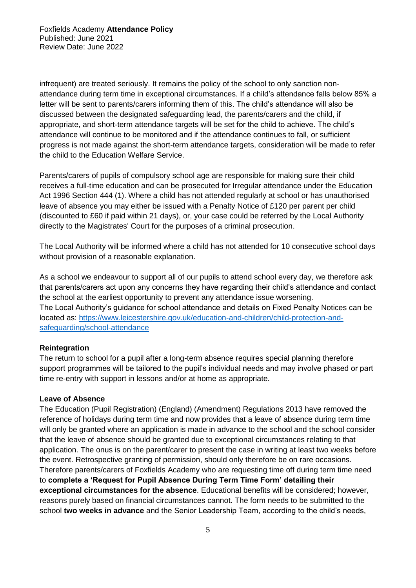infrequent) are treated seriously. It remains the policy of the school to only sanction nonattendance during term time in exceptional circumstances. If a child's attendance falls below 85% a letter will be sent to parents/carers informing them of this. The child's attendance will also be discussed between the designated safeguarding lead, the parents/carers and the child, if appropriate, and short-term attendance targets will be set for the child to achieve. The child's attendance will continue to be monitored and if the attendance continues to fall, or sufficient progress is not made against the short-term attendance targets, consideration will be made to refer the child to the Education Welfare Service.

Parents/carers of pupils of compulsory school age are responsible for making sure their child receives a full-time education and can be prosecuted for Irregular attendance under the Education Act 1996 Section 444 (1). Where a child has not attended regularly at school or has unauthorised leave of absence you may either be issued with a Penalty Notice of £120 per parent per child (discounted to £60 if paid within 21 days), or, your case could be referred by the Local Authority directly to the Magistrates' Court for the purposes of a criminal prosecution.

The Local Authority will be informed where a child has not attended for 10 consecutive school days without provision of a reasonable explanation.

As a school we endeavour to support all of our pupils to attend school every day, we therefore ask that parents/carers act upon any concerns they have regarding their child's attendance and contact the school at the earliest opportunity to prevent any attendance issue worsening. The Local Authority's guidance for school attendance and details on Fixed Penalty Notices can be located as: [https://www.leicestershire.gov.uk/education-and-children/child-protection-and](https://www.leicestershire.gov.uk/education-and-children/child-protection-and-safeguarding/school-attendance)[safeguarding/school-attendance](https://www.leicestershire.gov.uk/education-and-children/child-protection-and-safeguarding/school-attendance)

## **Reintegration**

The return to school for a pupil after a long-term absence requires special planning therefore support programmes will be tailored to the pupil's individual needs and may involve phased or part time re-entry with support in lessons and/or at home as appropriate.

#### **Leave of Absence**

The Education (Pupil Registration) (England) (Amendment) Regulations 2013 have removed the reference of holidays during term time and now provides that a leave of absence during term time will only be granted where an application is made in advance to the school and the school consider that the leave of absence should be granted due to exceptional circumstances relating to that application. The onus is on the parent/carer to present the case in writing at least two weeks before the event. Retrospective granting of permission, should only therefore be on rare occasions. Therefore parents/carers of Foxfields Academy who are requesting time off during term time need to **complete a 'Request for Pupil Absence During Term Time Form' detailing their exceptional circumstances for the absence**. Educational benefits will be considered; however, reasons purely based on financial circumstances cannot. The form needs to be submitted to the school **two weeks in advance** and the Senior Leadership Team, according to the child's needs,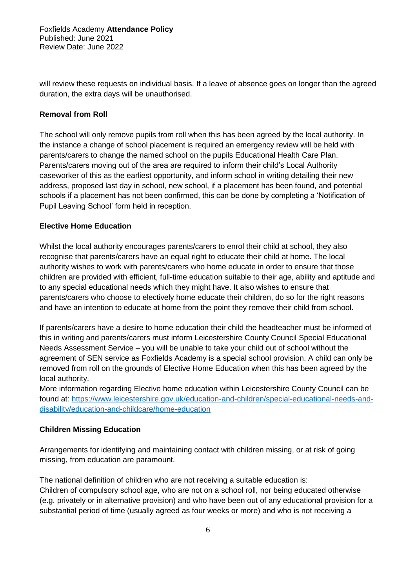will review these requests on individual basis. If a leave of absence goes on longer than the agreed duration, the extra days will be unauthorised.

#### **Removal from Roll**

The school will only remove pupils from roll when this has been agreed by the local authority. In the instance a change of school placement is required an emergency review will be held with parents/carers to change the named school on the pupils Educational Health Care Plan. Parents/carers moving out of the area are required to inform their child's Local Authority caseworker of this as the earliest opportunity, and inform school in writing detailing their new address, proposed last day in school, new school, if a placement has been found, and potential schools if a placement has not been confirmed, this can be done by completing a 'Notification of Pupil Leaving School' form held in reception.

#### **Elective Home Education**

Whilst the local authority encourages parents/carers to enrol their child at school, they also recognise that parents/carers have an equal right to educate their child at home. The local authority wishes to work with parents/carers who home educate in order to ensure that those children are provided with efficient, full-time education suitable to their age, ability and aptitude and to any special educational needs which they might have. It also wishes to ensure that parents/carers who choose to electively home educate their children, do so for the right reasons and have an intention to educate at home from the point they remove their child from school.

If parents/carers have a desire to home education their child the headteacher must be informed of this in writing and parents/carers must inform Leicestershire County Council Special Educational Needs Assessment Service – you will be unable to take your child out of school without the agreement of SEN service as Foxfields Academy is a special school provision. A child can only be removed from roll on the grounds of Elective Home Education when this has been agreed by the local authority.

More information regarding Elective home education within Leicestershire County Council can be found at: [https://www.leicestershire.gov.uk/education-and-children/special-educational-needs-and](https://www.leicestershire.gov.uk/education-and-children/special-educational-needs-and-disability/education-and-childcare/home-education)[disability/education-and-childcare/home-education](https://www.leicestershire.gov.uk/education-and-children/special-educational-needs-and-disability/education-and-childcare/home-education)

#### **Children Missing Education**

Arrangements for identifying and maintaining contact with children missing, or at risk of going missing, from education are paramount.

The national definition of children who are not receiving a suitable education is: Children of compulsory school age, who are not on a school roll, nor being educated otherwise (e.g. privately or in alternative provision) and who have been out of any educational provision for a substantial period of time (usually agreed as four weeks or more) and who is not receiving a